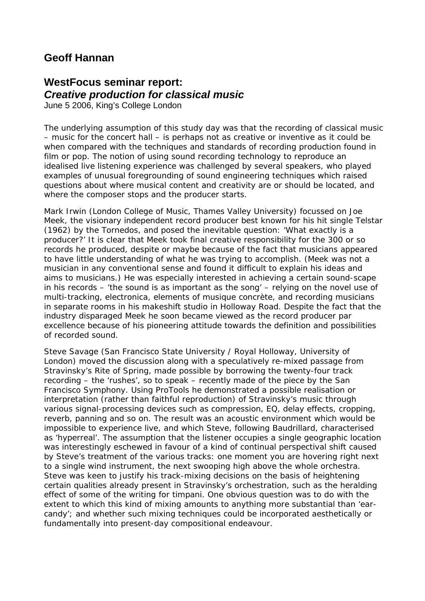## **Geoff Hannan**

## **WestFocus seminar report:**  *Creative production for classical music*

June 5 2006, King's College London

The underlying assumption of this study day was that the recording of classical music – music for the concert hall – is perhaps not as creative or inventive as it could be when compared with the techniques and standards of recording production found in film or pop. The notion of using sound recording technology to reproduce an idealised live listening experience was challenged by several speakers, who played examples of unusual foregrounding of sound engineering techniques which raised questions about where musical content and creativity are or should be located, and where the composer stops and the producer starts.

Mark Irwin (London College of Music, Thames Valley University) focussed on Joe Meek, the visionary independent record producer best known for his hit single *Telstar* (1962) by the Tornedos, and posed the inevitable question: 'What exactly is a producer?' It is clear that Meek took final creative responsibility for the 300 or so records he produced, despite or maybe because of the fact that musicians appeared to have little understanding of what he was trying to accomplish. (Meek was not a musician in any conventional sense and found it difficult to explain his ideas and aims to musicians.) He was especially interested in achieving a certain sound-scape in his records – 'the sound is as important as the song' – relying on the novel use of multi-tracking, electronica, elements of *musique concrète*, and recording musicians in separate rooms in his makeshift studio in Holloway Road. Despite the fact that the industry disparaged Meek he soon became viewed as the record producer *par excellence* because of his pioneering attitude towards the definition and possibilities of recorded sound.

Steve Savage (San Francisco State University / Royal Holloway, University of London) moved the discussion along with a speculatively re-mixed passage from Stravinsky's *Rite of Spring*, made possible by borrowing the twenty-four track recording – the 'rushes', so to speak – recently made of the piece by the San Francisco Symphony. Using ProTools he demonstrated a possible realisation or interpretation (rather than faithful reproduction) of Stravinsky's music through various signal-processing devices such as compression, EQ, delay effects, cropping, reverb, panning and so on. The result was an acoustic environment which would be impossible to experience live, and which Steve, following Baudrillard, characterised as 'hyperreal'. The assumption that the listener occupies a single geographic location was interestingly eschewed in favour of a kind of continual perspectival shift caused by Steve's treatment of the various tracks: one moment you are hovering right next to a single wind instrument, the next swooping high above the whole orchestra. Steve was keen to justify his track-mixing decisions on the basis of heightening certain qualities already present in Stravinsky's orchestration, such as the heralding effect of some of the writing for timpani. One obvious question was to do with the extent to which this kind of mixing amounts to anything more substantial than 'earcandy'; and whether such mixing techniques could be incorporated aesthetically or fundamentally into present-day compositional endeavour.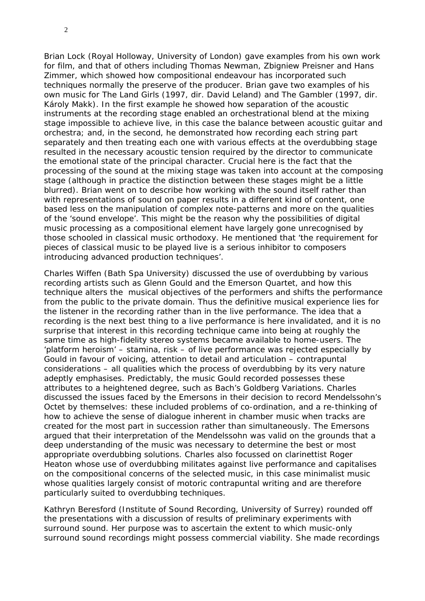Brian Lock (Royal Holloway, University of London) gave examples from his own work for film, and that of others including Thomas Newman, Zbigniew Preisner and Hans Zimmer, which showed how compositional endeavour has incorporated such techniques normally the preserve of the producer. Brian gave two examples of his own music for *The Land Girls* (1997, dir. David Leland) and *The Gambler* (1997, dir. Károly Makk). In the first example he showed how separation of the acoustic instruments at the recording stage enabled an orchestrational blend at the mixing stage impossible to achieve live, in this case the balance between acoustic guitar and orchestra; and, in the second, he demonstrated how recording each string part separately and then treating each one with various effects at the overdubbing stage resulted in the necessary acoustic tension required by the director to communicate the emotional state of the principal character. Crucial here is the fact that the processing of the sound at the mixing stage was taken into account at the composing stage (although in practice the distinction between these stages might be a little blurred). Brian went on to describe how working with the sound itself rather than with representations of sound on paper results in a different kind of content, one based less on the manipulation of complex note-patterns and more on the qualities of the 'sound envelope'. This might be the reason why the possibilities of digital music processing as a compositional element have largely gone unrecognised by those schooled in classical music orthodoxy. He mentioned that 'the requirement for pieces of classical music to be played live is a serious inhibitor to composers introducing advanced production techniques'.

Charles Wiffen (Bath Spa University) discussed the use of overdubbing by various recording artists such as Glenn Gould and the Emerson Quartet, and how this technique alters the musical objectives of the performers and shifts the performance from the public to the private domain. Thus the definitive musical experience lies for the listener in the recording rather than in the live performance. The idea that a recording is the next best thing to a live performance is here invalidated, and it is no surprise that interest in this recording technique came into being at roughly the same time as high-fidelity stereo systems became available to home-users. The 'platform heroism' – stamina, risk – of live performance was rejected especially by Gould in favour of voicing, attention to detail and articulation – contrapuntal considerations – all qualities which the process of overdubbing by its very nature adeptly emphasises. Predictably, the music Gould recorded possesses these attributes to a heightened degree, such as Bach's Goldberg Variations. Charles discussed the issues faced by the Emersons in their decision to record Mendelssohn's Octet by themselves: these included problems of co-ordination, and a re-thinking of how to achieve the sense of dialogue inherent in chamber music when tracks are created for the most part in succession rather than simultaneously. The Emersons argued that their interpretation of the Mendelssohn was valid on the grounds that a deep understanding of the music was necessary to determine the best or most appropriate overdubbing solutions. Charles also focussed on clarinettist Roger Heaton whose use of overdubbing militates against live performance and capitalises on the compositional concerns of the selected music, in this case minimalist music whose qualities largely consist of motoric contrapuntal writing and are therefore particularly suited to overdubbing techniques.

Kathryn Beresford (Institute of Sound Recording, University of Surrey) rounded off the presentations with a discussion of results of preliminary experiments with surround sound. Her purpose was to ascertain the extent to which music-only surround sound recordings might possess commercial viability. She made recordings